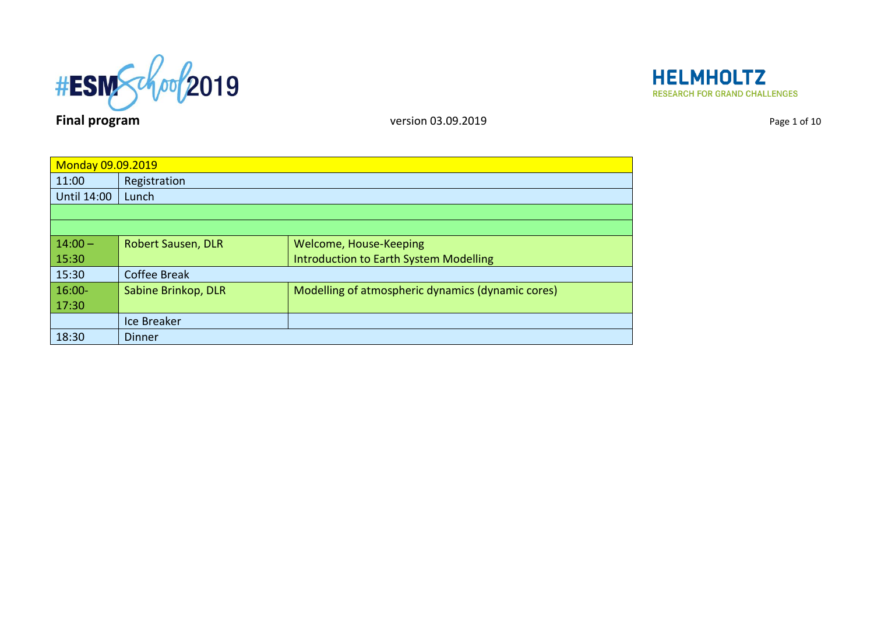



| <b>Monday 09.09.2019</b> |                           |                                                   |
|--------------------------|---------------------------|---------------------------------------------------|
| 11:00                    | Registration              |                                                   |
| <b>Until 14:00</b>       | Lunch                     |                                                   |
|                          |                           |                                                   |
|                          |                           |                                                   |
| $14:00 -$                | <b>Robert Sausen, DLR</b> | Welcome, House-Keeping                            |
| 15:30                    |                           | <b>Introduction to Earth System Modelling</b>     |
| 15:30                    | <b>Coffee Break</b>       |                                                   |
| $16:00 -$                | Sabine Brinkop, DLR       | Modelling of atmospheric dynamics (dynamic cores) |
| 17:30                    |                           |                                                   |
|                          | Ice Breaker               |                                                   |
| 18:30                    | <b>Dinner</b>             |                                                   |
|                          |                           |                                                   |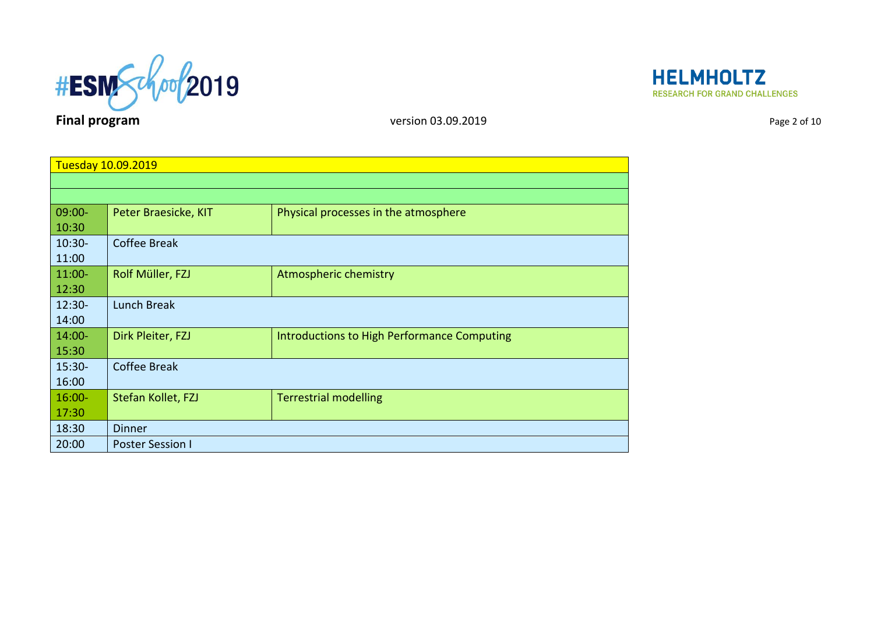



| Tuesday 10.09.2019 |                         |                                             |
|--------------------|-------------------------|---------------------------------------------|
|                    |                         |                                             |
|                    |                         |                                             |
| $09:00 -$          | Peter Braesicke, KIT    | Physical processes in the atmosphere        |
| 10:30              |                         |                                             |
| $10:30-$           | <b>Coffee Break</b>     |                                             |
| 11:00              |                         |                                             |
| $11:00-$           | Rolf Müller, FZJ        | Atmospheric chemistry                       |
| 12:30              |                         |                                             |
| $12:30-$           | Lunch Break             |                                             |
| 14:00              |                         |                                             |
| $14:00 -$          | Dirk Pleiter, FZJ       | Introductions to High Performance Computing |
| 15:30              |                         |                                             |
| $15:30-$           | <b>Coffee Break</b>     |                                             |
| 16:00              |                         |                                             |
| $16:00 -$          | Stefan Kollet, FZJ      | <b>Terrestrial modelling</b>                |
| 17:30              |                         |                                             |
| 18:30              | <b>Dinner</b>           |                                             |
| 20:00              | <b>Poster Session I</b> |                                             |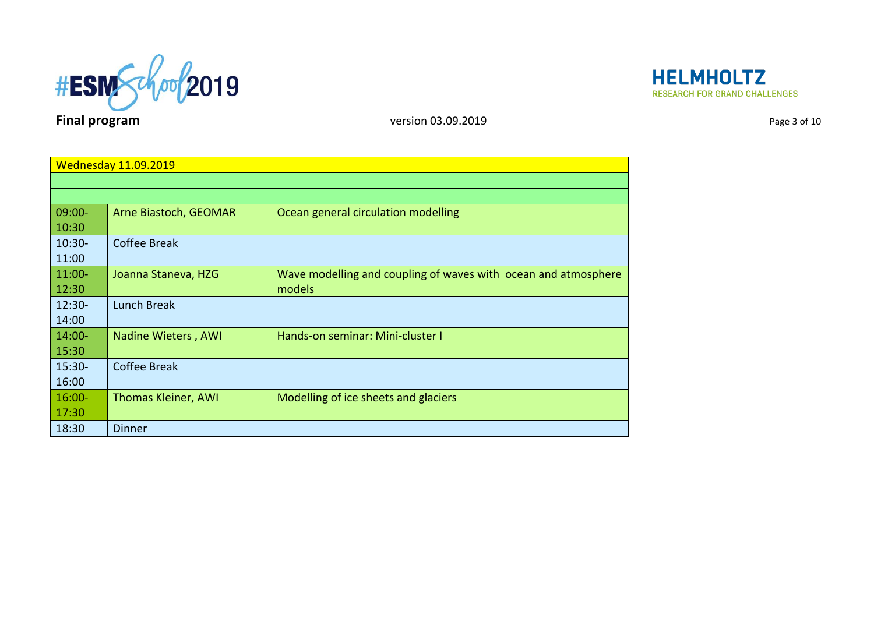



|           | <b>Wednesday 11.09.2019</b> |                                                                |
|-----------|-----------------------------|----------------------------------------------------------------|
|           |                             |                                                                |
|           |                             |                                                                |
| $09:00 -$ | Arne Biastoch, GEOMAR       | Ocean general circulation modelling                            |
| 10:30     |                             |                                                                |
| $10:30 -$ | <b>Coffee Break</b>         |                                                                |
| 11:00     |                             |                                                                |
| $11:00-$  | Joanna Staneva, HZG         | Wave modelling and coupling of waves with ocean and atmosphere |
| 12:30     |                             | models                                                         |
| $12:30 -$ | <b>Lunch Break</b>          |                                                                |
| 14:00     |                             |                                                                |
| $14:00 -$ | Nadine Wieters, AWI         | Hands-on seminar: Mini-cluster I                               |
| 15:30     |                             |                                                                |
| $15:30-$  | <b>Coffee Break</b>         |                                                                |
| 16:00     |                             |                                                                |
| $16:00 -$ | <b>Thomas Kleiner, AWI</b>  | Modelling of ice sheets and glaciers                           |
| 17:30     |                             |                                                                |
| 18:30     | <b>Dinner</b>               |                                                                |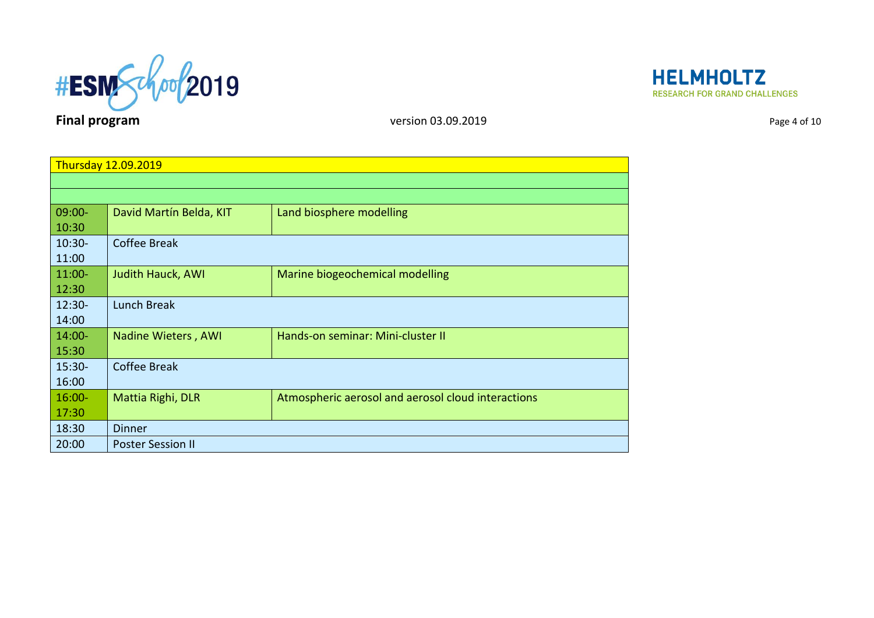



| Page 4 of 10 |  |  |
|--------------|--|--|

| <b>Thursday 12.09.2019</b> |                          |                                                    |
|----------------------------|--------------------------|----------------------------------------------------|
|                            |                          |                                                    |
|                            |                          |                                                    |
| $09:00 -$                  | David Martín Belda, KIT  | Land biosphere modelling                           |
| 10:30                      |                          |                                                    |
| $10:30-$                   | <b>Coffee Break</b>      |                                                    |
| 11:00                      |                          |                                                    |
| $11:00-$                   | Judith Hauck, AWI        | Marine biogeochemical modelling                    |
| 12:30                      |                          |                                                    |
| $12:30 -$                  | <b>Lunch Break</b>       |                                                    |
| 14:00                      |                          |                                                    |
| $14:00 -$                  | Nadine Wieters, AWI      | Hands-on seminar: Mini-cluster II                  |
| 15:30                      |                          |                                                    |
| $15:30-$                   | <b>Coffee Break</b>      |                                                    |
| 16:00                      |                          |                                                    |
| $16:00 -$                  | Mattia Righi, DLR        | Atmospheric aerosol and aerosol cloud interactions |
| 17:30                      |                          |                                                    |
| 18:30                      | Dinner                   |                                                    |
| 20:00                      | <b>Poster Session II</b> |                                                    |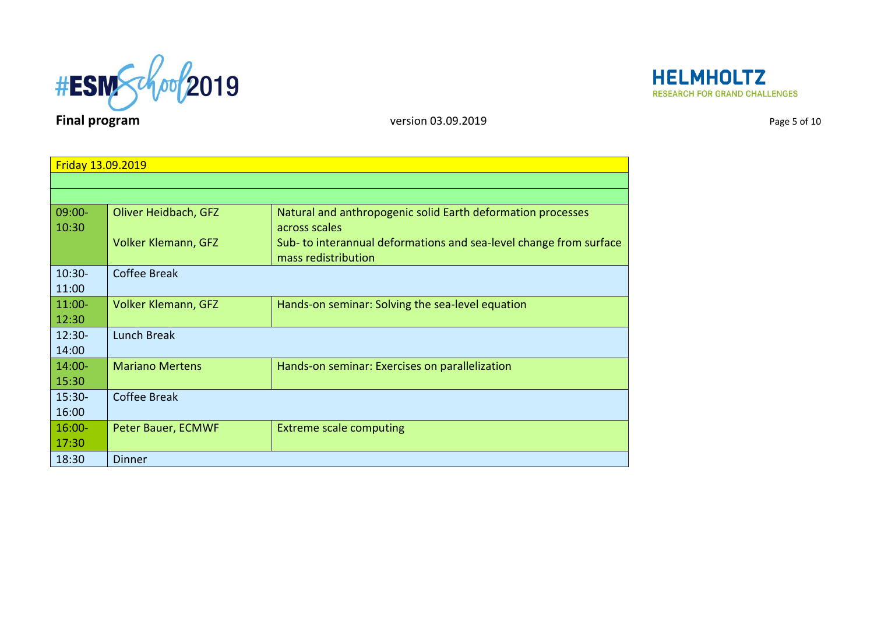



| Friday 13.09.2019  |                            |                                                                                          |
|--------------------|----------------------------|------------------------------------------------------------------------------------------|
|                    |                            |                                                                                          |
|                    |                            |                                                                                          |
| $09:00 -$<br>10:30 | Oliver Heidbach, GFZ       | Natural and anthropogenic solid Earth deformation processes<br>across scales             |
|                    | <b>Volker Klemann, GFZ</b> | Sub-to interannual deformations and sea-level change from surface<br>mass redistribution |
| $10:30-$           | <b>Coffee Break</b>        |                                                                                          |
| 11:00              |                            |                                                                                          |
| $11:00-$           | <b>Volker Klemann, GFZ</b> | Hands-on seminar: Solving the sea-level equation                                         |
| 12:30              |                            |                                                                                          |
| $12:30-$           | <b>Lunch Break</b>         |                                                                                          |
| 14:00              |                            |                                                                                          |
| $14:00 -$          | <b>Mariano Mertens</b>     | Hands-on seminar: Exercises on parallelization                                           |
| 15:30              |                            |                                                                                          |
| $15:30-$           | <b>Coffee Break</b>        |                                                                                          |
| 16:00              |                            |                                                                                          |
| $16:00 -$          | Peter Bauer, ECMWF         | <b>Extreme scale computing</b>                                                           |
| 17:30              |                            |                                                                                          |
| 18:30              | <b>Dinner</b>              |                                                                                          |

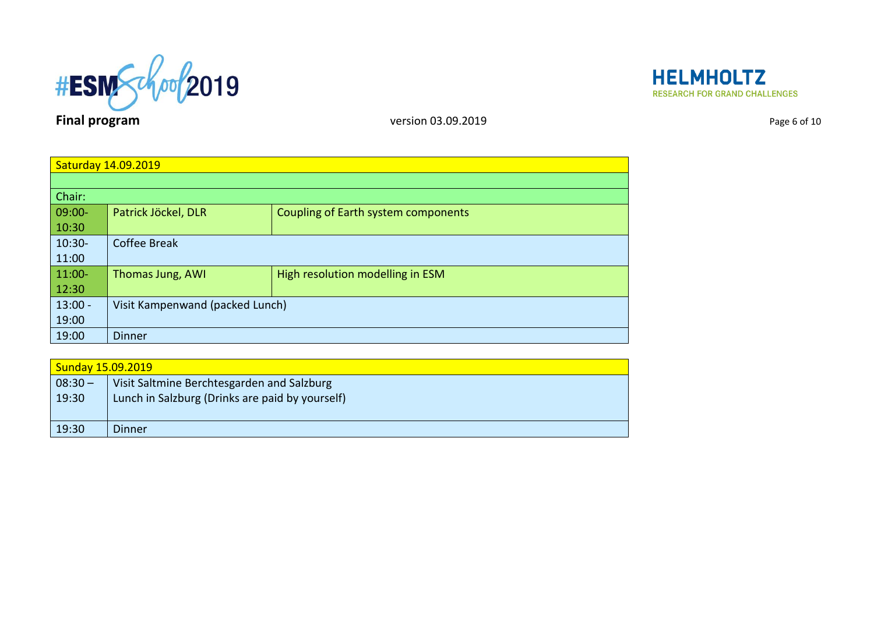



| Page 6 of 10 |  |  |
|--------------|--|--|
|              |  |  |

| Saturday 14.09.2019 |                                 |                                            |
|---------------------|---------------------------------|--------------------------------------------|
|                     |                                 |                                            |
| Chair:              |                                 |                                            |
| 09:00-              | Patrick Jöckel, DLR             | <b>Coupling of Earth system components</b> |
| 10:30               |                                 |                                            |
| $10:30-$            | <b>Coffee Break</b>             |                                            |
| 11:00               |                                 |                                            |
| $11:00-$            | Thomas Jung, AWI                | High resolution modelling in ESM           |
| 12:30               |                                 |                                            |
| $13:00 -$           | Visit Kampenwand (packed Lunch) |                                            |
| 19:00               |                                 |                                            |
| 19:00               | <b>Dinner</b>                   |                                            |

| <b>Sunday 15.09.2019</b> |                                                 |  |
|--------------------------|-------------------------------------------------|--|
| $08:30 -$                | Visit Saltmine Berchtesgarden and Salzburg      |  |
| 19:30                    | Lunch in Salzburg (Drinks are paid by yourself) |  |
| 19:30                    | Dinner                                          |  |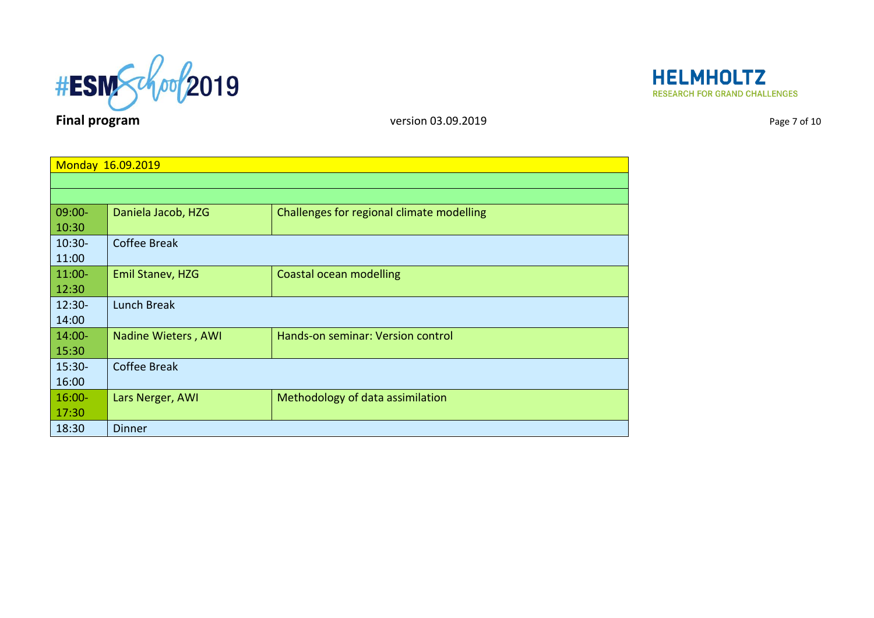



| Monday 16.09.2019 |                     |                                           |
|-------------------|---------------------|-------------------------------------------|
|                   |                     |                                           |
| $09:00 -$         | Daniela Jacob, HZG  | Challenges for regional climate modelling |
| 10:30             |                     |                                           |
| $10:30 -$         | <b>Coffee Break</b> |                                           |
| 11:00             |                     |                                           |
| $11:00 -$         | Emil Stanev, HZG    | Coastal ocean modelling                   |
| 12:30             |                     |                                           |
| $12:30 -$         | Lunch Break         |                                           |
| 14:00             |                     |                                           |
| $14:00 -$         | Nadine Wieters, AWI | Hands-on seminar: Version control         |
| 15:30             |                     |                                           |
| $15:30 -$         | <b>Coffee Break</b> |                                           |
| 16:00             |                     |                                           |
| $16:00 -$         | Lars Nerger, AWI    | Methodology of data assimilation          |
| 17:30             |                     |                                           |
| 18:30             | <b>Dinner</b>       |                                           |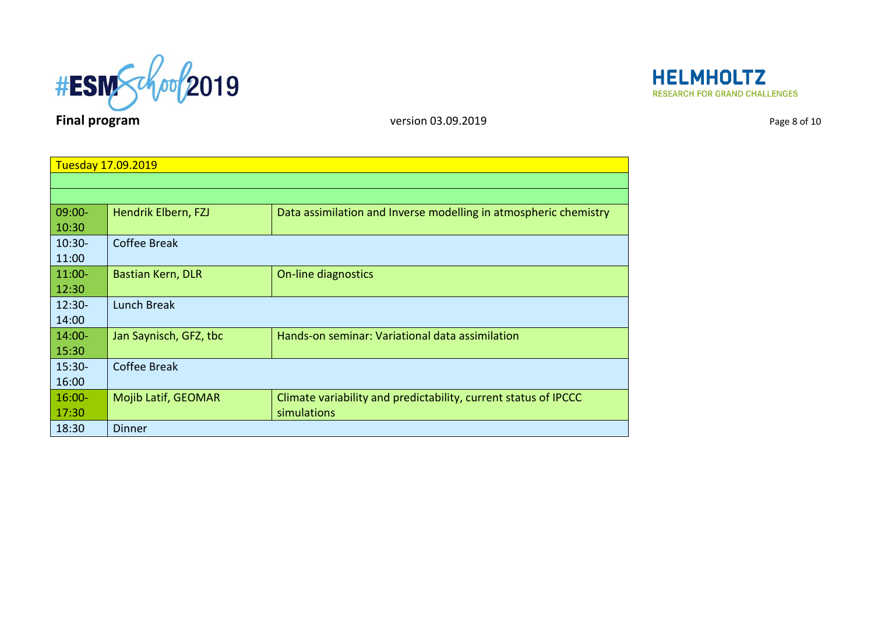

**HELMHOLTZ RESEARCH FOR GRAND CHALLENGES** 

| Tuesday 17.09.2019 |                          |                                                                  |
|--------------------|--------------------------|------------------------------------------------------------------|
|                    |                          |                                                                  |
|                    |                          |                                                                  |
| $09:00 -$          | Hendrik Elbern, FZJ      | Data assimilation and Inverse modelling in atmospheric chemistry |
| 10:30              |                          |                                                                  |
| $10:30 -$          | <b>Coffee Break</b>      |                                                                  |
| 11:00              |                          |                                                                  |
| $11:00 -$          | <b>Bastian Kern, DLR</b> | On-line diagnostics                                              |
| 12:30              |                          |                                                                  |
| $12:30-$           | <b>Lunch Break</b>       |                                                                  |
| 14:00              |                          |                                                                  |
| $14:00 -$          | Jan Saynisch, GFZ, tbc   | Hands-on seminar: Variational data assimilation                  |
| 15:30              |                          |                                                                  |
| $15:30-$           | <b>Coffee Break</b>      |                                                                  |
| 16:00              |                          |                                                                  |
| $16:00 -$          | Mojib Latif, GEOMAR      | Climate variability and predictability, current status of IPCCC  |
| 17:30              |                          | simulations                                                      |
| 18:30              | <b>Dinner</b>            |                                                                  |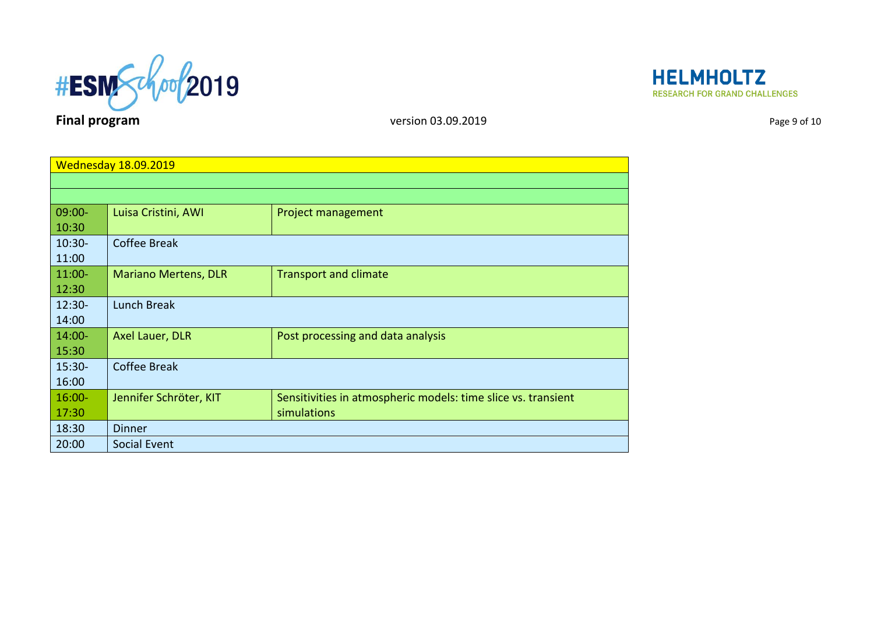

**HELMHOLTZ RESEARCH FOR GRAND CHALLENGES** 

| <b>Wednesday 18.09.2019</b> |                             |                                                               |
|-----------------------------|-----------------------------|---------------------------------------------------------------|
|                             |                             |                                                               |
|                             |                             |                                                               |
| 09:00-                      | Luisa Cristini, AWI         | Project management                                            |
| 10:30                       |                             |                                                               |
| $10:30-$                    | <b>Coffee Break</b>         |                                                               |
| 11:00                       |                             |                                                               |
| $11:00-$                    | <b>Mariano Mertens, DLR</b> | <b>Transport and climate</b>                                  |
| 12:30                       |                             |                                                               |
| $12:30 -$                   | <b>Lunch Break</b>          |                                                               |
| 14:00                       |                             |                                                               |
| $14:00 -$                   | Axel Lauer, DLR             | Post processing and data analysis                             |
| 15:30                       |                             |                                                               |
| $15:30-$                    | <b>Coffee Break</b>         |                                                               |
| 16:00                       |                             |                                                               |
| $16:00 -$                   | Jennifer Schröter, KIT      | Sensitivities in atmospheric models: time slice vs. transient |
| 17:30                       |                             | simulations                                                   |
| 18:30                       | <b>Dinner</b>               |                                                               |
| 20:00                       | Social Event                |                                                               |